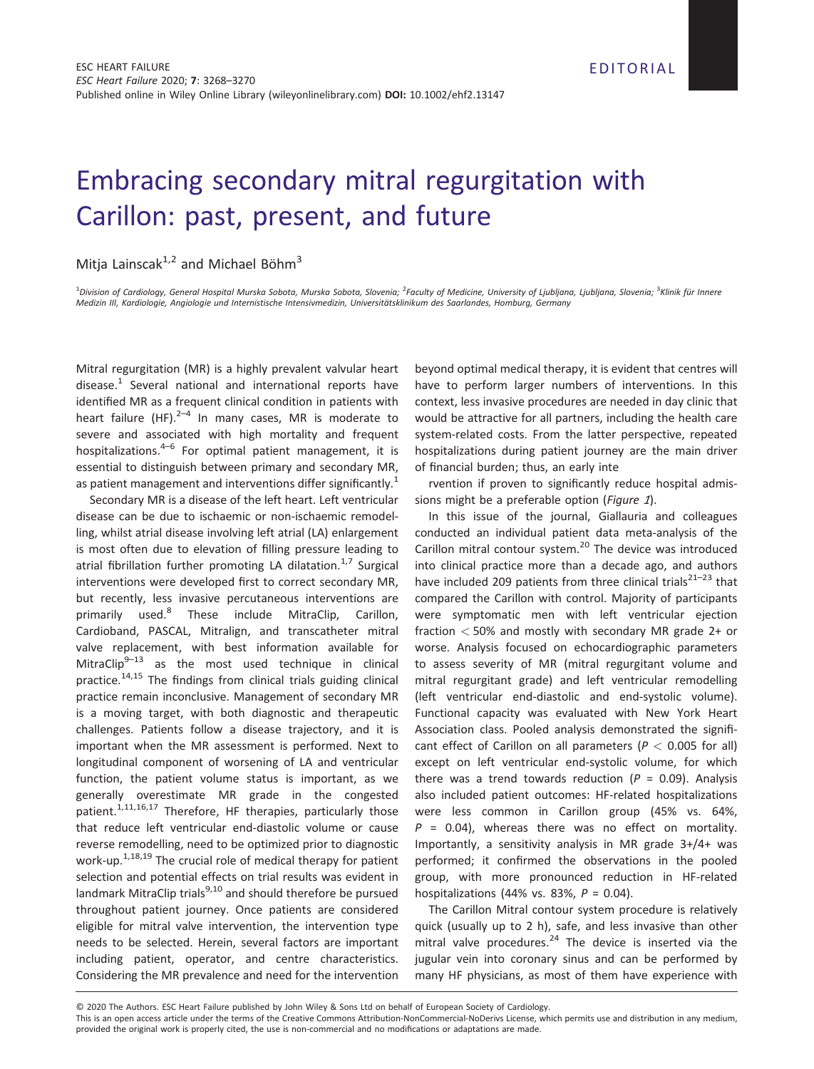## Embracing secondary mitral regurgitation with Carillon: past, present, and future

## Mitia Lainscak<sup>1,2</sup> and Michael Böhm<sup>3</sup>

<sup>1</sup>Division of Cardiology, General Hospital Murska Sobota, Murska Sobota, Slovenia; <sup>2</sup>Faculty of Medicine, University of Ljubljana, Ljubljana, Slovenia; <sup>3</sup>Klinik für Innere Medizin III, Kardiologie, Angiologie und Internistische Intensivmedizin, Universitätsklinikum des Saarlandes, Homburg, Germany

Mitral regurgitation (MR) is a highly prevalent valvular heart disease. $1$  Several national and international reports have identified MR as a frequent clinical condition in patients with heart failure (HF). $2-4$  In many cases, MR is moderate to severe and associated with high mortality and frequent hospitalizations. $4-6$  For optimal patient management, it is essential to distinguish between primary and secondary MR, as patient management and interventions differ significantly.<sup>1</sup>

Secondary MR is a disease of the left heart. Left ventricular disease can be due to ischaemic or non-ischaemic remodelling, whilst atrial disease involving left atrial (LA) enlargement is most often due to elevation of filling pressure leading to atrial fibrillation further promoting LA dilatation.<sup>1,7</sup> Surgical interventions were developed first to correct secondary MR, but recently, less invasive percutaneous interventions are primarily used.<sup>8</sup> These include MitraClip, Carillon, Cardioband, PASCAL, Mitralign, and transcatheter mitral valve replacement, with best information available for MitraClip $9-13$  as the most used technique in clinical practice.<sup>14,15</sup> The findings from clinical trials guiding clinical practice remain inconclusive. Management of secondary MR is a moving target, with both diagnostic and therapeutic challenges. Patients follow a disease trajectory, and it is important when the MR assessment is performed. Next to longitudinal component of worsening of LA and ventricular function, the patient volume status is important, as we generally overestimate MR grade in the congested patient.<sup>1,11,16,17</sup> Therefore, HF therapies, particularly those that reduce left ventricular end-diastolic volume or cause reverse remodelling, need to be optimized prior to diagnostic work-up. $1,18,19$  The crucial role of medical therapy for patient selection and potential effects on trial results was evident in landmark MitraClip trials<sup>9,10</sup> and should therefore be pursued throughout patient journey. Once patients are considered eligible for mitral valve intervention, the intervention type needs to be selected. Herein, several factors are important including patient, operator, and centre characteristics. Considering the MR prevalence and need for the intervention

beyond optimal medical therapy, it is evident that centres will have to perform larger numbers of interventions. In this context, less invasive procedures are needed in day clinic that would be attractive for all partners, including the health care system-related costs. From the latter perspective, repeated hospitalizations during patient journey are the main driver of financial burden; thus, an early inte

rvention if proven to significantly reduce hospital admissions might be a preferable option (Figure 1).

In this issue of the journal, Giallauria and colleagues conducted an individual patient data meta-analysis of the Carillon mitral contour system.<sup>20</sup> The device was introduced into clinical practice more than a decade ago, and authors have included 209 patients from three clinical trials<sup>21–23</sup> that compared the Carillon with control. Majority of participants were symptomatic men with left ventricular ejection fraction < 50% and mostly with secondary MR grade 2+ or worse. Analysis focused on echocardiographic parameters to assess severity of MR (mitral regurgitant volume and mitral regurgitant grade) and left ventricular remodelling (left ventricular end-diastolic and end-systolic volume). Functional capacity was evaluated with New York Heart Association class. Pooled analysis demonstrated the significant effect of Carillon on all parameters ( $P < 0.005$  for all) except on left ventricular end-systolic volume, for which there was a trend towards reduction ( $P = 0.09$ ). Analysis also included patient outcomes: HF-related hospitalizations were less common in Carillon group (45% vs. 64%,  $P = 0.04$ ), whereas there was no effect on mortality. Importantly, a sensitivity analysis in MR grade 3+/4+ was performed; it confirmed the observations in the pooled group, with more pronounced reduction in HF-related hospitalizations (44% vs. 83%,  $P = 0.04$ ).

The Carillon Mitral contour system procedure is relatively quick (usually up to 2 h), safe, and less invasive than other mitral valve procedures. $24$  The device is inserted via the jugular vein into coronary sinus and can be performed by many HF physicians, as most of them have experience with

<sup>©</sup> 2020 The Authors. ESC Heart Failure published by John Wiley & Sons Ltd on behalf of European Society of Cardiology.

This is an open access article under the terms of the [Creative Commons Attribution-NonCommercial-NoDerivs](http://creativecommons.org/licenses/by-nc-nd/4.0/) License, which permits use and distribution in any medium, provided the original work is properly cited, the use is non-commercial and no modifications or adaptations are made.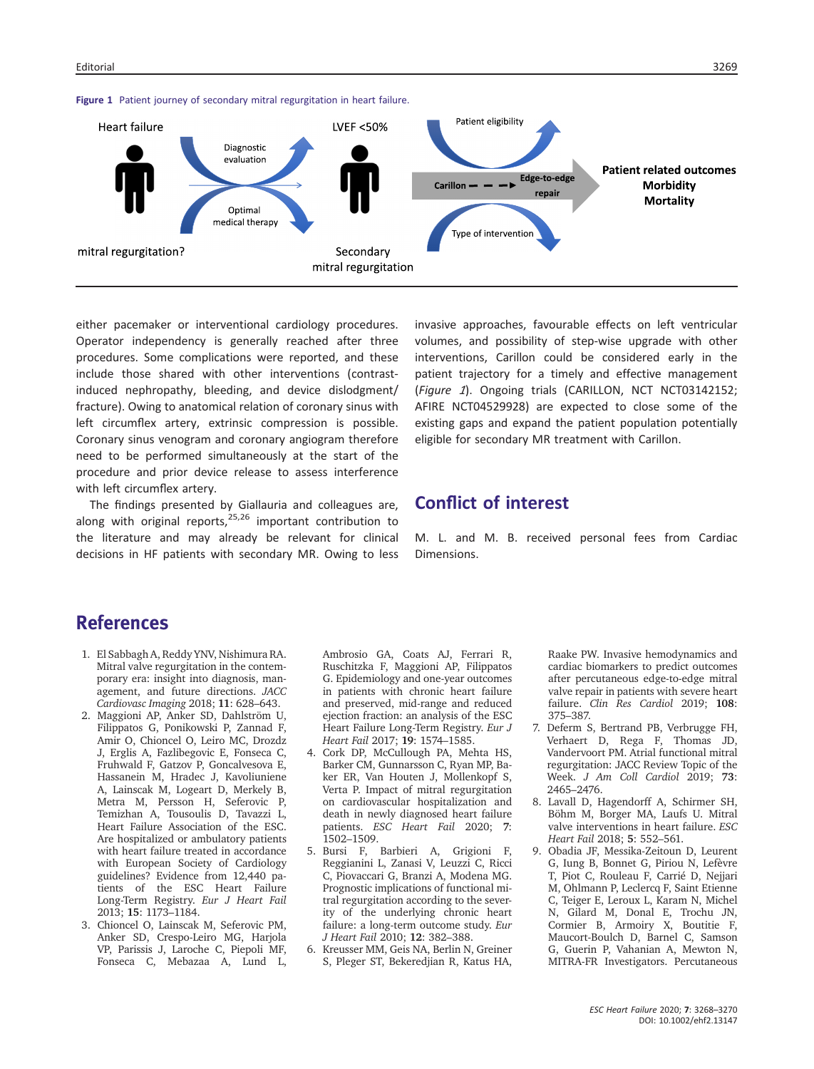

Figure 1 Patient journey of secondary mitral regurgitation in heart failure.

either pacemaker or interventional cardiology procedures. Operator independency is generally reached after three procedures. Some complications were reported, and these include those shared with other interventions (contrastinduced nephropathy, bleeding, and device dislodgment/ fracture). Owing to anatomical relation of coronary sinus with left circumflex artery, extrinsic compression is possible. Coronary sinus venogram and coronary angiogram therefore need to be performed simultaneously at the start of the procedure and prior device release to assess interference with left circumflex artery.

The findings presented by Giallauria and colleagues are, along with original reports, $25,26$  important contribution to the literature and may already be relevant for clinical decisions in HF patients with secondary MR. Owing to less invasive approaches, favourable effects on left ventricular volumes, and possibility of step-wise upgrade with other interventions, Carillon could be considered early in the patient trajectory for a timely and effective management (Figure 1). Ongoing trials (CARILLON, NCT NCT03142152; AFIRE NCT04529928) are expected to close some of the existing gaps and expand the patient population potentially eligible for secondary MR treatment with Carillon.

## Conflict of interest

M. L. and M. B. received personal fees from Cardiac Dimensions.

## References

- 1. El Sabbagh A, Reddy YNV, Nishimura RA. Mitral valve regurgitation in the contemporary era: insight into diagnosis, management, and future directions. JACC Cardiovasc Imaging 2018; 11: 628–643.
- 2. Maggioni AP, Anker SD, Dahlström U, Filippatos G, Ponikowski P, Zannad F, Amir O, Chioncel O, Leiro MC, Drozdz J, Erglis A, Fazlibegovic E, Fonseca C, Fruhwald F, Gatzov P, Goncalvesova E, Hassanein M, Hradec J, Kavoliuniene A, Lainscak M, Logeart D, Merkely B, Metra M, Persson H, Seferovic P, Temizhan A, Tousoulis D, Tavazzi L, Heart Failure Association of the ESC. Are hospitalized or ambulatory patients with heart failure treated in accordance with European Society of Cardiology guidelines? Evidence from 12,440 patients of the ESC Heart Failure Long-Term Registry. Eur J Heart Fail 2013; 15: 1173–1184.
- 3. Chioncel O, Lainscak M, Seferovic PM, Anker SD, Crespo-Leiro MG, Harjola VP, Parissis J, Laroche C, Piepoli MF, Fonseca C, Mebazaa A, Lund L,

Ambrosio GA, Coats AJ, Ferrari R, Ruschitzka F, Maggioni AP, Filippatos G. Epidemiology and one-year outcomes in patients with chronic heart failure and preserved, mid-range and reduced ejection fraction: an analysis of the ESC Heart Failure Long-Term Registry. Eur J Heart Fail 2017; 19: 1574–1585.

- 4. Cork DP, McCullough PA, Mehta HS, Barker CM, Gunnarsson C, Ryan MP, Baker ER, Van Houten J, Mollenkopf S, Verta P. Impact of mitral regurgitation on cardiovascular hospitalization and death in newly diagnosed heart failure patients. ESC Heart Fail 2020; 7: 1502–1509.
- 5. Bursi F, Barbieri A, Grigioni F, Reggianini L, Zanasi V, Leuzzi C, Ricci C, Piovaccari G, Branzi A, Modena MG. Prognostic implications of functional mitral regurgitation according to the severity of the underlying chronic heart failure: a long-term outcome study. Eur J Heart Fail 2010; 12: 382–388.
- 6. Kreusser MM, Geis NA, Berlin N, Greiner S, Pleger ST, Bekeredjian R, Katus HA,

Raake PW. Invasive hemodynamics and cardiac biomarkers to predict outcomes after percutaneous edge-to-edge mitral valve repair in patients with severe heart failure. Clin Res Cardiol 2019; 108: 375–387.

- 7. Deferm S, Bertrand PB, Verbrugge FH, Verhaert D, Rega F, Thomas JD, Vandervoort PM. Atrial functional mitral regurgitation: JACC Review Topic of the Week. J Am Coll Cardiol 2019; 73: 2465–2476.
- 8. Lavall D, Hagendorff A, Schirmer SH, Böhm M, Borger MA, Laufs U. Mitral valve interventions in heart failure. ESC Heart Fail 2018; 5: 552–561.
- 9. Obadia JF, Messika-Zeitoun D, Leurent G, Iung B, Bonnet G, Piriou N, Lefèvre T, Piot C, Rouleau F, Carrié D, Nejjari M, Ohlmann P, Leclercq F, Saint Etienne C, Teiger E, Leroux L, Karam N, Michel N, Gilard M, Donal E, Trochu JN, Cormier B, Armoiry X, Boutitie F, Maucort-Boulch D, Barnel C, Samson G, Guerin P, Vahanian A, Mewton N, MITRA-FR Investigators. Percutaneous